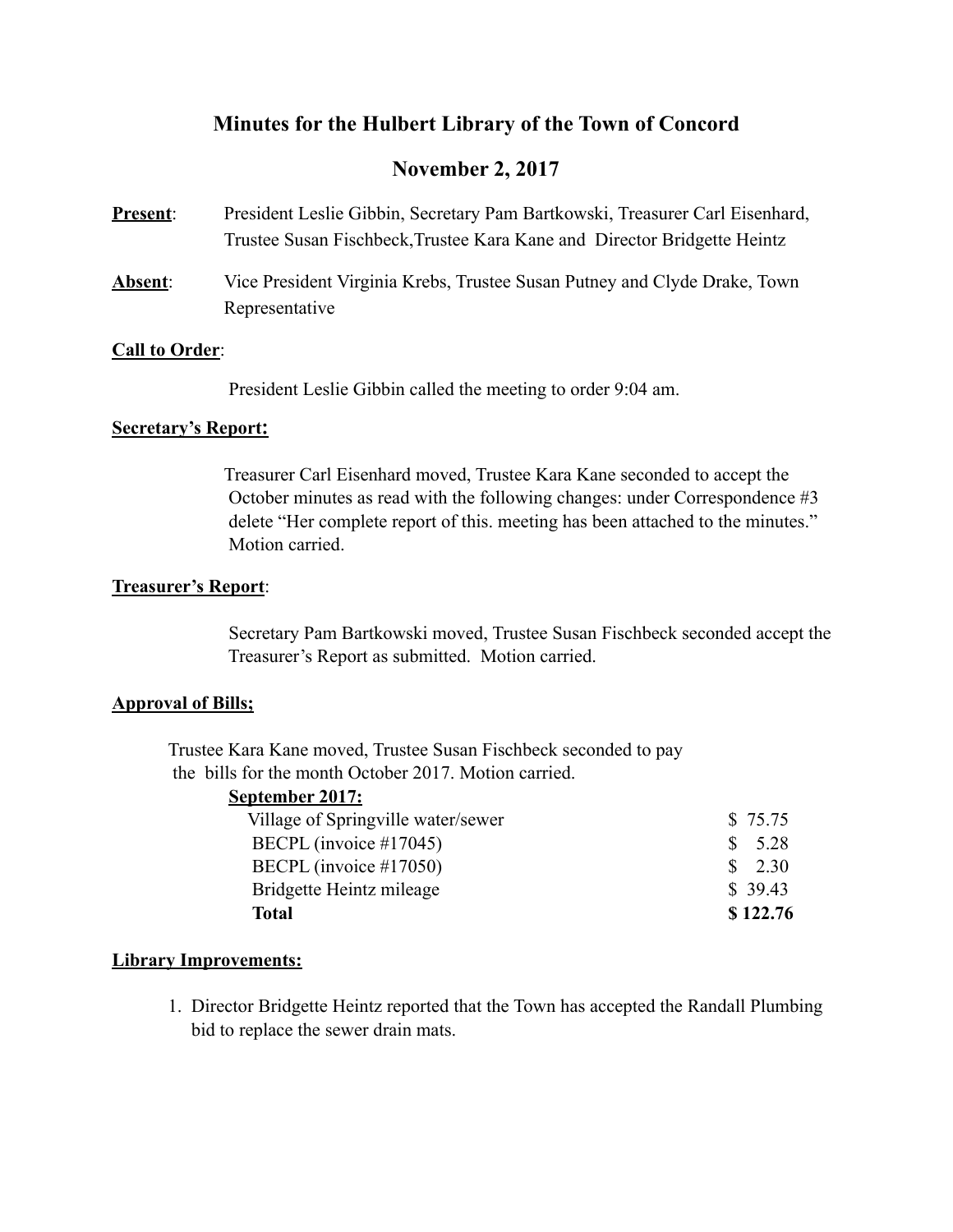# **Minutes for the Hulbert Library of the Town of Concord**

# **November 2, 2017**

- **Present**: President Leslie Gibbin, Secretary Pam Bartkowski, Treasurer Carl Eisenhard, Trustee Susan Fischbeck,Trustee Kara Kane and Director Bridgette Heintz
- **Absent**: Vice President Virginia Krebs, Trustee Susan Putney and Clyde Drake, Town Representative

#### **Call to Order**:

President Leslie Gibbin called the meeting to order 9:04 am.

### **Secretary's Report:**

 Treasurer Carl Eisenhard moved, Trustee Kara Kane seconded to accept the October minutes as read with the following changes: under Correspondence #3 delete "Her complete report of this. meeting has been attached to the minutes." Motion carried.

### **Treasurer's Report**:

 Secretary Pam Bartkowski moved, Trustee Susan Fischbeck seconded accept the Treasurer's Report as submitted. Motion carried.

#### **Approval of Bills;**

 Trustee Kara Kane moved, Trustee Susan Fischbeck seconded to pay the bills for the month October 2017. Motion carried.

| September 2017:                    |          |
|------------------------------------|----------|
| Village of Springville water/sewer | \$75.75  |
| BECPL (invoice #17045)             | 5.28     |
| BECPL (invoice #17050)             | 2.30     |
| Bridgette Heintz mileage           | \$39.43  |
| Total                              | \$122.76 |

## **Library Improvements:**

 1. Director Bridgette Heintz reported that the Town has accepted the Randall Plumbing bid to replace the sewer drain mats.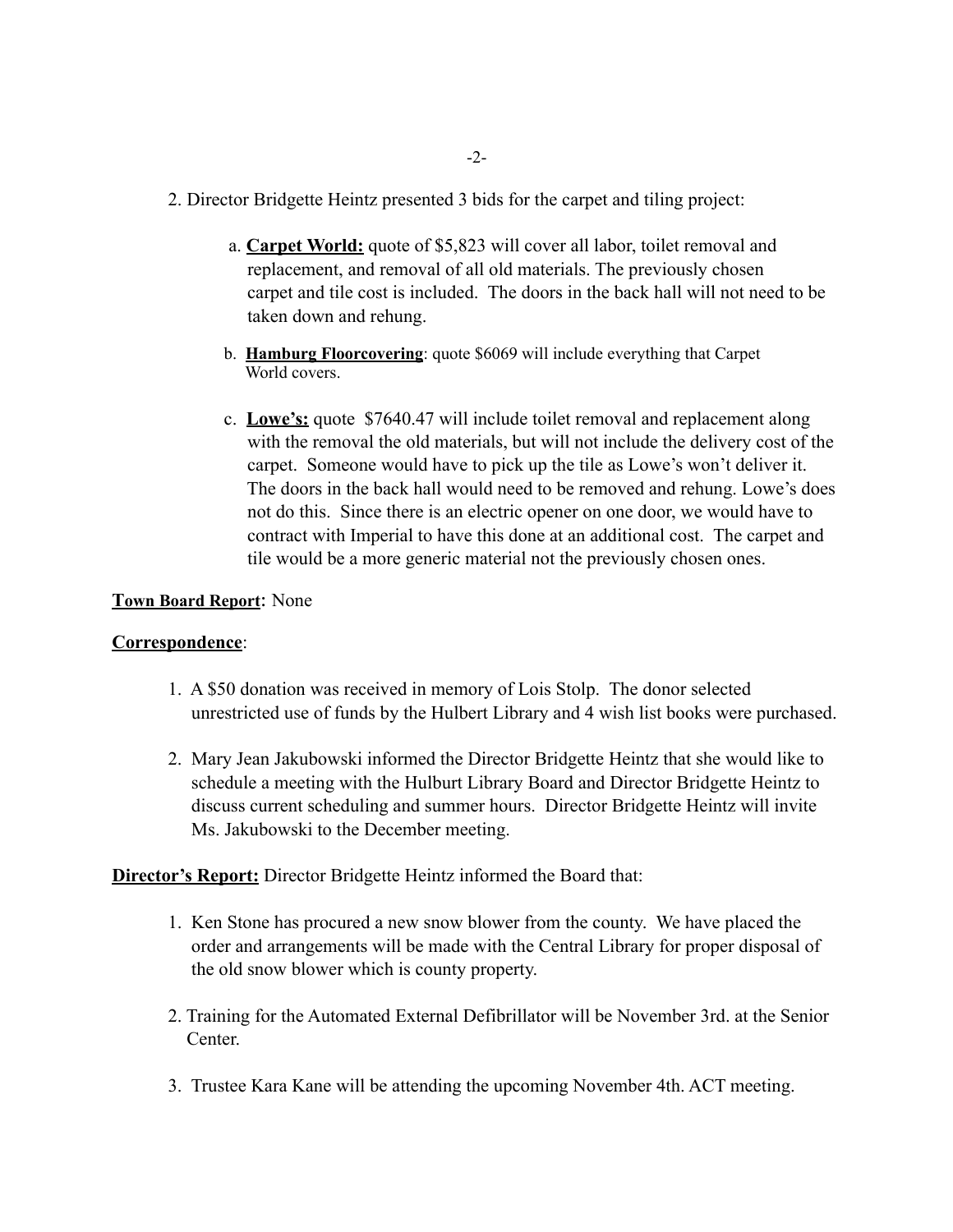- 2. Director Bridgette Heintz presented 3 bids for the carpet and tiling project:
	- a. **Carpet World:** quote of \$5,823 will cover all labor, toilet removal and replacement, and removal of all old materials. The previously chosen carpet and tile cost is included. The doors in the back hall will not need to be taken down and rehung.
	- b. **Hamburg Floorcovering**: quote \$6069 will include everything that Carpet World covers.
	- c. **Lowe's:** quote \$7640.47 will include toilet removal and replacement along with the removal the old materials, but will not include the delivery cost of the carpet. Someone would have to pick up the tile as Lowe's won't deliver it. The doors in the back hall would need to be removed and rehung. Lowe's does not do this. Since there is an electric opener on one door, we would have to contract with Imperial to have this done at an additional cost. The carpet and tile would be a more generic material not the previously chosen ones.

#### **Town Board Report**: None

#### **Correspondence**:

- 1. A \$50 donation was received in memory of Lois Stolp. The donor selected unrestricted use of funds by the Hulbert Library and 4 wish list books were purchased.
- 2. Mary Jean Jakubowski informed the Director Bridgette Heintz that she would like to schedule a meeting with the Hulburt Library Board and Director Bridgette Heintz to discuss current scheduling and summer hours. Director Bridgette Heintz will invite Ms. Jakubowski to the December meeting.

## **Director's Report:** Director Bridgette Heintz informed the Board that:

- 1. Ken Stone has procured a new snow blower from the county. We have placed the order and arrangements will be made with the Central Library for proper disposal of the old snow blower which is county property.
- 2. Training for the Automated External Defibrillator will be November 3rd. at the Senior **Center**
- 3. Trustee Kara Kane will be attending the upcoming November 4th. ACT meeting.